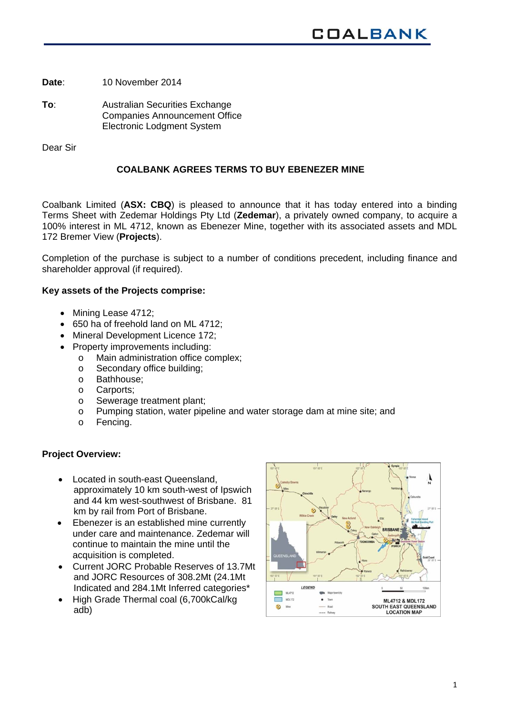**Date**: 10 November 2014

**To**: Australian Securities Exchange Companies Announcement Office Electronic Lodgment System

Dear Sir

# **COALBANK AGREES TERMS TO BUY EBENEZER MINE**

Coalbank Limited (**ASX: CBQ**) is pleased to announce that it has today entered into a binding Terms Sheet with Zedemar Holdings Pty Ltd (**Zedemar**), a privately owned company, to acquire a 100% interest in ML 4712, known as Ebenezer Mine, together with its associated assets and MDL 172 Bremer View (**Projects**).

Completion of the purchase is subject to a number of conditions precedent, including finance and shareholder approval (if required).

## **Key assets of the Projects comprise:**

- Mining Lease 4712:
- 650 ha of freehold land on ML 4712;
- Mineral Development Licence 172;
- Property improvements including:
	- o Main administration office complex;
	- o Secondary office building;
	- o Bathhouse;
	- o Carports;
	- o Sewerage treatment plant;
	- o Pumping station, water pipeline and water storage dam at mine site; and
	- o Fencing.

## **Project Overview:**

- Located in south-east Queensland, approximately 10 km south-west of Ipswich and 44 km west-southwest of Brisbane. 81 km by rail from Port of Brisbane.
- Ebenezer is an established mine currently under care and maintenance. Zedemar will continue to maintain the mine until the acquisition is completed.
- Current JORC Probable Reserves of 13.7Mt and JORC Resources of 308.2Mt (24.1Mt Indicated and 284.1Mt Inferred categories\*
- High Grade Thermal coal (6,700kCal/kg adb)